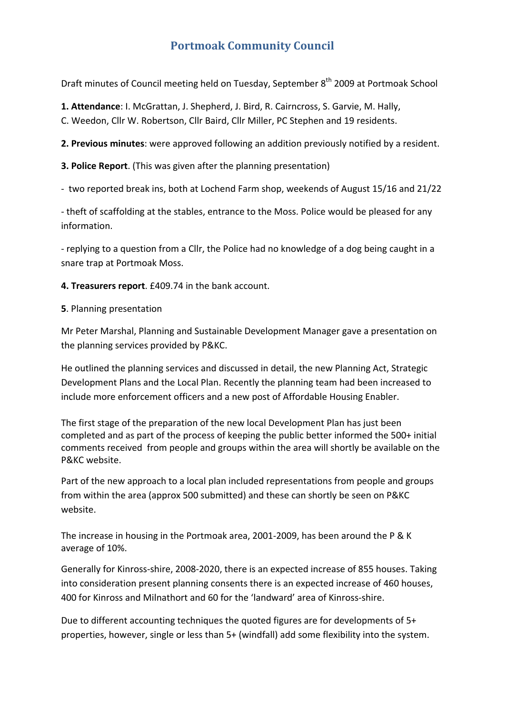# **Portmoak Community Council**

Draft minutes of Council meeting held on Tuesday, September 8<sup>th</sup> 2009 at Portmoak School

**1. Attendance**: I. McGrattan, J. Shepherd, J. Bird, R. Cairncross, S. Garvie, M. Hally,

C. Weedon, Cllr W. Robertson, Cllr Baird, Cllr Miller, PC Stephen and 19 residents.

**2. Previous minutes**: were approved following an addition previously notified by a resident.

**3. Police Report**. (This was given after the planning presentation)

‐ two reported break ins, both at Lochend Farm shop, weekends of August 15/16 and 21/22

‐ theft of scaffolding at the stables, entrance to the Moss. Police would be pleased for any information.

‐ replying to a question from a Cllr, the Police had no knowledge of a dog being caught in a snare trap at Portmoak Moss.

**4. Treasurers report**. £409.74 in the bank account.

**5**. Planning presentation

Mr Peter Marshal, Planning and Sustainable Development Manager gave a presentation on the planning services provided by P&KC.

He outlined the planning services and discussed in detail, the new Planning Act, Strategic Development Plans and the Local Plan. Recently the planning team had been increased to include more enforcement officers and a new post of Affordable Housing Enabler.

The first stage of the preparation of the new local Development Plan has just been completed and as part of the process of keeping the public better informed the 500+ initial comments received from people and groups within the area will shortly be available on the P&KC website.

Part of the new approach to a local plan included representations from people and groups from within the area (approx 500 submitted) and these can shortly be seen on P&KC website.

The increase in housing in the Portmoak area, 2001-2009, has been around the P & K average of 10%.

Generally for Kinross‐shire, 2008‐2020, there is an expected increase of 855 houses. Taking into consideration present planning consents there is an expected increase of 460 houses, 400 for Kinross and Milnathort and 60 for the 'landward' area of Kinross‐shire.

Due to different accounting techniques the quoted figures are for developments of 5+ properties, however, single or less than 5+ (windfall) add some flexibility into the system.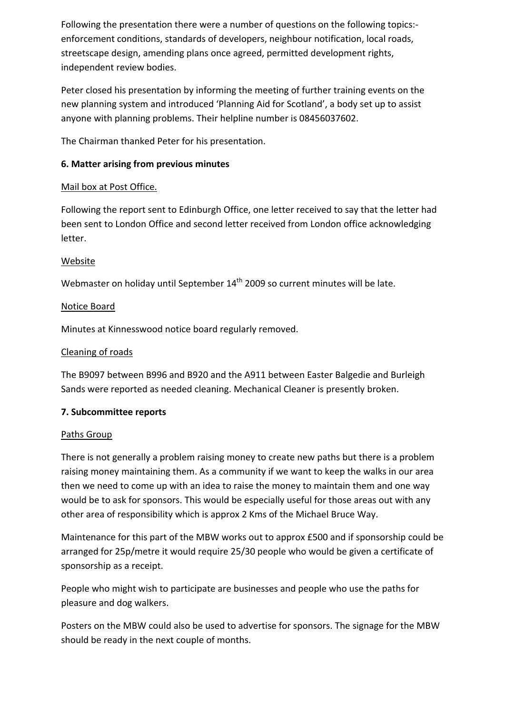Following the presentation there were a number of questions on the following topics:‐ enforcement conditions, standards of developers, neighbour notification, local roads, streetscape design, amending plans once agreed, permitted development rights, independent review bodies.

Peter closed his presentation by informing the meeting of further training events on the new planning system and introduced 'Planning Aid for Scotland', a body set up to assist anyone with planning problems. Their helpline number is 08456037602.

The Chairman thanked Peter for his presentation.

### **6. Matter arising from previous minutes**

### Mail box at Post Office.

Following the report sent to Edinburgh Office, one letter received to say that the letter had been sent to London Office and second letter received from London office acknowledging letter.

### Website

Webmaster on holiday until September 14<sup>th</sup> 2009 so current minutes will be late.

#### Notice Board

Minutes at Kinnesswood notice board regularly removed.

#### Cleaning of roads

The B9097 between B996 and B920 and the A911 between Easter Balgedie and Burleigh Sands were reported as needed cleaning. Mechanical Cleaner is presently broken.

### **7. Subcommittee reports**

#### Paths Group

There is not generally a problem raising money to create new paths but there is a problem raising money maintaining them. As a community if we want to keep the walks in our area then we need to come up with an idea to raise the money to maintain them and one way would be to ask for sponsors. This would be especially useful for those areas out with any other area of responsibility which is approx 2 Kms of the Michael Bruce Way.

Maintenance for this part of the MBW works out to approx £500 and if sponsorship could be arranged for 25p/metre it would require 25/30 people who would be given a certificate of sponsorship as a receipt.

People who might wish to participate are businesses and people who use the paths for pleasure and dog walkers.

Posters on the MBW could also be used to advertise for sponsors. The signage for the MBW should be ready in the next couple of months.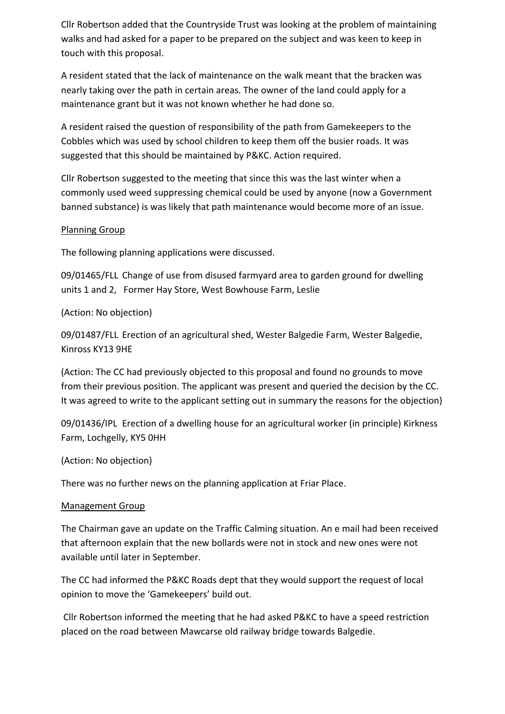Cllr Robertson added that the Countryside Trust was looking at the problem of maintaining walks and had asked for a paper to be prepared on the subject and was keen to keep in touch with this proposal.

A resident stated that the lack of maintenance on the walk meant that the bracken was nearly taking over the path in certain areas. The owner of the land could apply for a maintenance grant but it was not known whether he had done so.

A resident raised the question of responsibility of the path from Gamekeepers to the Cobbles which was used by school children to keep them off the busier roads. It was suggested that this should be maintained by P&KC. Action required.

Cllr Robertson suggested to the meeting that since this was the last winter when a commonly used weed suppressing chemical could be used by anyone (now a Government banned substance) is was likely that path maintenance would become more of an issue.

#### Planning Group

The following planning applications were discussed.

09/01465/FLL Change of use from disused farmyard area to garden ground for dwelling units 1 and 2, Former Hay Store, West Bowhouse Farm, Leslie

(Action: No objection)

09/01487/FLL Erection of an agricultural shed, Wester Balgedie Farm, Wester Balgedie, Kinross KY13 9HE

(Action: The CC had previously objected to this proposal and found no grounds to move from their previous position. The applicant was present and queried the decision by the CC. It was agreed to write to the applicant setting out in summary the reasons for the objection)

09/01436/IPL Erection of a dwelling house for an agricultural worker (in principle) Kirkness Farm, Lochgelly, KY5 0HH

(Action: No objection)

There was no further news on the planning application at Friar Place.

#### Management Group

The Chairman gave an update on the Traffic Calming situation. An e mail had been received that afternoon explain that the new bollards were not in stock and new ones were not available until later in September.

The CC had informed the P&KC Roads dept that they would support the request of local opinion to move the 'Gamekeepers' build out.

Cllr Robertson informed the meeting that he had asked P&KC to have a speed restriction placed on the road between Mawcarse old railway bridge towards Balgedie.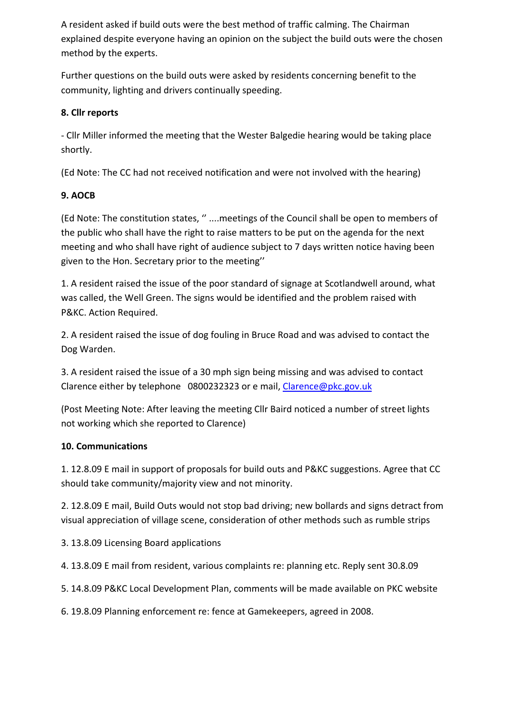A resident asked if build outs were the best method of traffic calming. The Chairman explained despite everyone having an opinion on the subject the build outs were the chosen method by the experts.

Further questions on the build outs were asked by residents concerning benefit to the community, lighting and drivers continually speeding.

## **8. Cllr reports**

‐ Cllr Miller informed the meeting that the Wester Balgedie hearing would be taking place shortly.

(Ed Note: The CC had not received notification and were not involved with the hearing)

# **9. AOCB**

(Ed Note: The constitution states, '' ....meetings of the Council shall be open to members of the public who shall have the right to raise matters to be put on the agenda for the next meeting and who shall have right of audience subject to 7 days written notice having been given to the Hon. Secretary prior to the meeting''

1. A resident raised the issue of the poor standard of signage at Scotlandwell around, what was called, the Well Green. The signs would be identified and the problem raised with P&KC. Action Required.

2. A resident raised the issue of dog fouling in Bruce Road and was advised to contact the Dog Warden.

3. A resident raised the issue of a 30 mph sign being missing and was advised to contact Clarence either by telephone 0800232323 or e mail, Clarence@pkc.gov.uk

(Post Meeting Note: After leaving the meeting Cllr Baird noticed a number of street lights not working which she reported to Clarence)

# **10. Communications**

1. 12.8.09 E mail in support of proposals for build outs and P&KC suggestions. Agree that CC should take community/majority view and not minority.

2. 12.8.09 E mail, Build Outs would not stop bad driving; new bollards and signs detract from visual appreciation of village scene, consideration of other methods such as rumble strips

3. 13.8.09 Licensing Board applications

4. 13.8.09 E mail from resident, various complaints re: planning etc. Reply sent 30.8.09

5. 14.8.09 P&KC Local Development Plan, comments will be made available on PKC website

6. 19.8.09 Planning enforcement re: fence at Gamekeepers, agreed in 2008.